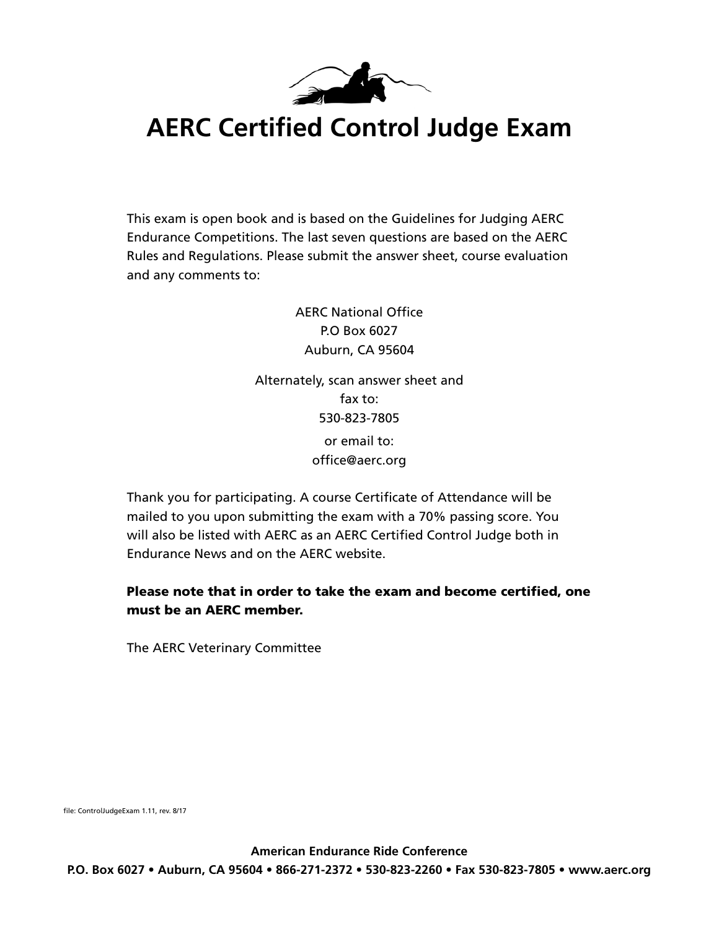

# **AERC Certified Control Judge Exam**

This exam is open book and is based on the Guidelines for Judging AERC Endurance Competitions. The last seven questions are based on the AERC Rules and Regulations. Please submit the answer sheet, course evaluation and any comments to:

> AERC National Office P.O Box 6027 Auburn, CA 95604 Alternately, scan answer sheet and fax to: 530-823-7805 or email to: office@aerc.org

Thank you for participating. A course Certificate of Attendance will be mailed to you upon submitting the exam with a 70% passing score. You will also be listed with AERC as an AERC Certified Control Judge both in Endurance News and on the AERC website.

#### Please note that in order to take the exam and become certified, one must be an AERC member.

The AERC Veterinary Committee

file: ControlJudgeExam 1.11, rev. 8/17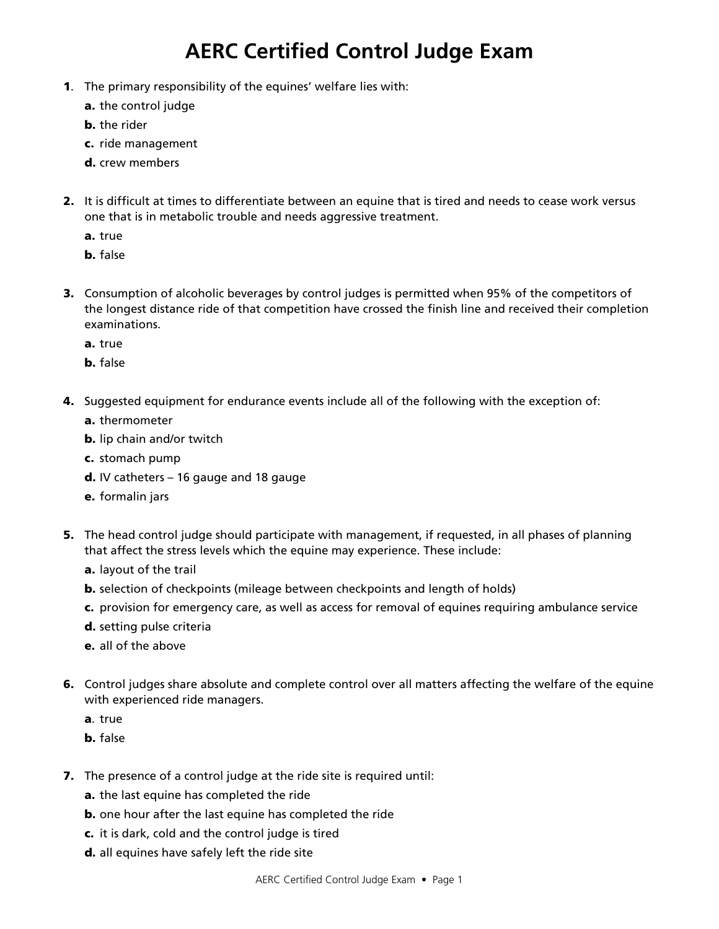## **AERC Certified Control Judge Exam**

- 1. The primary responsibility of the equines' welfare lies with:
	- a. the control judge
	- **b.** the rider
	- c. ride management
	- d. crew members
- 2. It is difficult at times to differentiate between an equine that is tired and needs to cease work versus one that is in metabolic trouble and needs aggressive treatment.
	- a. true
	- b. false
- 3. Consumption of alcoholic beverages by control judges is permitted when 95% of the competitors of the longest distance ride of that competition have crossed the finish line and received their completion examinations.
	- a. true
	- b. false
- 4. Suggested equipment for endurance events include all of the following with the exception of:
	- a. thermometer
	- b. lip chain and/or twitch
	- c. stomach pump
	- $d.$  IV catheters  $-16$  gauge and 18 gauge
	- e. formalin jars
- 5. The head control judge should participate with management, if requested, in all phases of planning that affect the stress levels which the equine may experience. These include:
	- a. layout of the trail
	- b. selection of checkpoints (mileage between checkpoints and length of holds)
	- c. provision for emergency care, as well as access for removal of equines requiring ambulance service
	- d. setting pulse criteria
	- e. all of the above
- 6. Control judges share absolute and complete control over all matters affecting the welfare of the equine with experienced ride managers.
	- a. true
	- b. false
- 7. The presence of a control judge at the ride site is required until:
	- a. the last equine has completed the ride
	- **b.** one hour after the last equine has completed the ride
	- c. it is dark, cold and the control judge is tired
	- d. all equines have safely left the ride site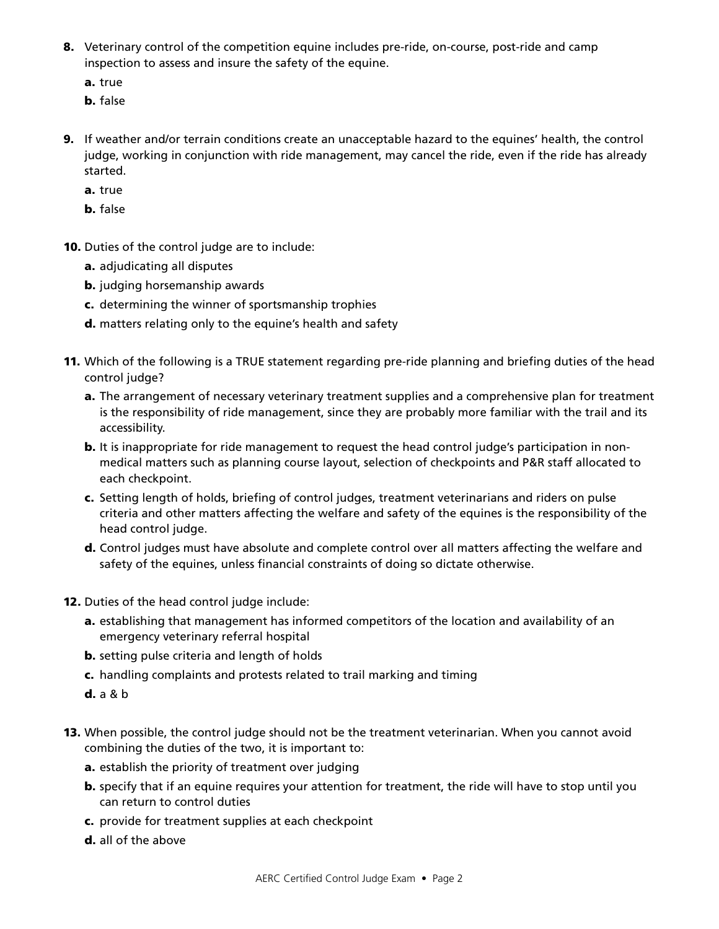- 8. Veterinary control of the competition equine includes pre-ride, on-course, post-ride and camp inspection to assess and insure the safety of the equine.
	- a. true
	- b. false
- 9. If weather and/or terrain conditions create an unacceptable hazard to the equines' health, the control judge, working in conjunction with ride management, may cancel the ride, even if the ride has already started.
	- a. true
	- b. false
- 10. Duties of the control judge are to include:
	- a. adjudicating all disputes
	- **b.** judging horsemanship awards
	- c. determining the winner of sportsmanship trophies
	- d. matters relating only to the equine's health and safety
- 11. Which of the following is a TRUE statement regarding pre-ride planning and briefing duties of the head control judge?
	- a. The arrangement of necessary veterinary treatment supplies and a comprehensive plan for treatment is the responsibility of ride management, since they are probably more familiar with the trail and its accessibility.
	- **b.** It is inappropriate for ride management to request the head control judge's participation in non medical matters such as planning course layout, selection of checkpoints and P&R staff allocated to each checkpoint.
	- c. Setting length of holds, briefing of control judges, treatment veterinarians and riders on pulse criteria and other matters affecting the welfare and safety of the equines is the responsibility of the head control judge.
	- d. Control judges must have absolute and complete control over all matters affecting the welfare and safety of the equines, unless financial constraints of doing so dictate otherwise.
- 12. Duties of the head control judge include:
	- a. establishing that management has informed competitors of the location and availability of an emergency veterinary referral hospital
	- **b.** setting pulse criteria and length of holds
	- c. handling complaints and protests related to trail marking and timing
	- d. a & b
- 13. When possible, the control judge should not be the treatment veterinarian. When you cannot avoid combining the duties of the two, it is important to:
	- a. establish the priority of treatment over judging
	- **b.** specify that if an equine requires your attention for treatment, the ride will have to stop until you can return to control duties
	- c. provide for treatment supplies at each checkpoint
	- d. all of the above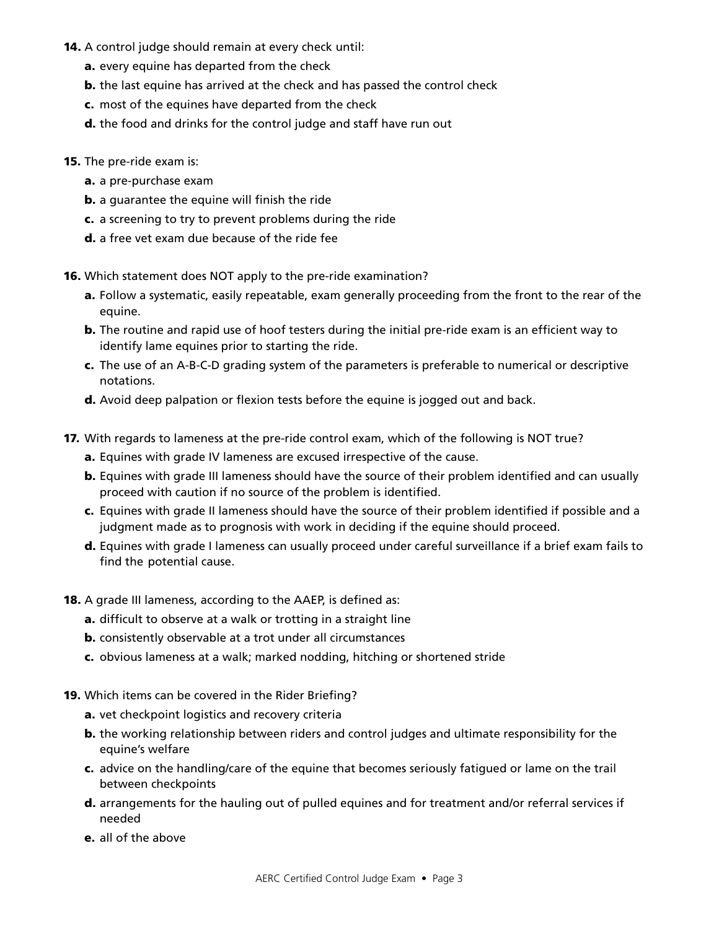- 14. A control judge should remain at every check until:
	- a. every equine has departed from the check
	- **b.** the last equine has arrived at the check and has passed the control check
	- c. most of the equines have departed from the check
	- d. the food and drinks for the control judge and staff have run out
- **15.** The pre-ride exam is:
	- a. a pre-purchase exam
	- **b.** a guarantee the equine will finish the ride
	- c. a screening to try to prevent problems during the ride
	- d. a free vet exam due because of the ride fee

16. Which statement does NOT apply to the pre-ride examination?

- a. Follow a systematic, easily repeatable, exam generally proceeding from the front to the rear of the equine.
- **b.** The routine and rapid use of hoof testers during the initial pre-ride exam is an efficient way to identify lame equines prior to starting the ride.
- c. The use of an A-B-C-D grading system of the parameters is preferable to numerical or descriptive notations.
- d. Avoid deep palpation or flexion tests before the equine is jogged out and back.
- 17. With regards to lameness at the pre-ride control exam, which of the following is NOT true?
	- a. Equines with grade IV lameness are excused irrespective of the cause.
	- **b.** Equines with grade III lameness should have the source of their problem identified and can usually proceed with caution if no source of the problem is identified.
	- c. Equines with grade II lameness should have the source of their problem identified if possible and a judgment made as to prognosis with work in deciding if the equine should proceed.
	- d. Equines with grade I lameness can usually proceed under careful surveillance if a brief exam fails to find the potential cause.
- 18. A grade III lameness, according to the AAEP, is defined as:
	- a. difficult to observe at a walk or trotting in a straight line
	- **b.** consistently observable at a trot under all circumstances
	- c. obvious lameness at a walk; marked nodding, hitching or shortened stride
- 19. Which items can be covered in the Rider Briefing?
	- a. vet checkpoint logistics and recovery criteria
	- b. the working relationship between riders and control judges and ultimate responsibility for the equine's welfare
	- c. advice on the handling/care of the equine that becomes seriously fatigued or lame on the trail between checkpoints
	- d. arrangements for the hauling out of pulled equines and for treatment and/or referral services if needed
	- e. all of the above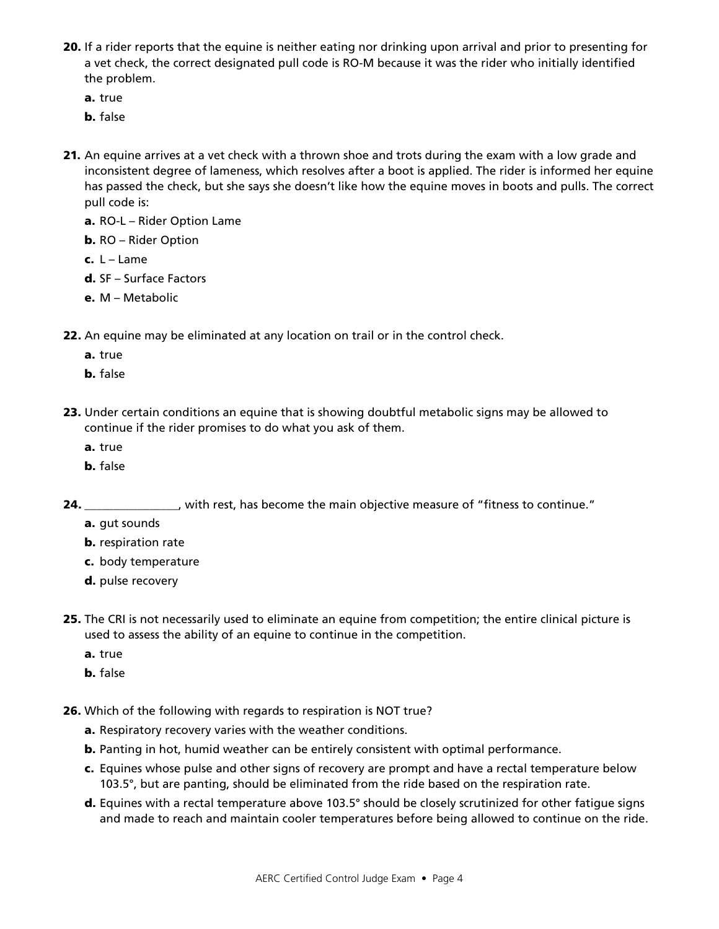- 20. If a rider reports that the equine is neither eating nor drinking upon arrival and prior to presenting for a vet check, the correct designated pull code is RO-M because it was the rider who initially identified the problem.
	- a. true
	- b. false
- 21. An equine arrives at a vet check with a thrown shoe and trots during the exam with a low grade and inconsistent degree of lameness, which resolves after a boot is applied. The rider is informed her equine has passed the check, but she says she doesn't like how the equine moves in boots and pulls. The correct pull code is:
	- a. RO-L Rider Option Lame
	- b. RO Rider Option
	- c.  $L L$ ame
	- d. SF Surface Factors
	- e. M Metabolic
- 22. An equine may be eliminated at any location on trail or in the control check.
	- a. true
	- b. false
- 23. Under certain conditions an equine that is showing doubtful metabolic signs may be allowed to continue if the rider promises to do what you ask of them.
	- a. true
	- b. false

24. \_\_\_\_\_\_\_\_\_\_\_\_\_\_\_, with rest, has become the main objective measure of "fitness to continue."

- a. gut sounds
- **b.** respiration rate
- c. body temperature
- d. pulse recovery
- 25. The CRI is not necessarily used to eliminate an equine from competition; the entire clinical picture is used to assess the ability of an equine to continue in the competition.
	- a. true
	- b. false
- 26. Which of the following with regards to respiration is NOT true?
	- a. Respiratory recovery varies with the weather conditions.
	- b. Panting in hot, humid weather can be entirely consistent with optimal performance.
	- c. Equines whose pulse and other signs of recovery are prompt and have a rectal temperature below 103.5°, but are panting, should be eliminated from the ride based on the respiration rate.
	- d. Equines with a rectal temperature above 103.5° should be closely scrutinized for other fatigue signs and made to reach and maintain cooler temperatures before being allowed to continue on the ride.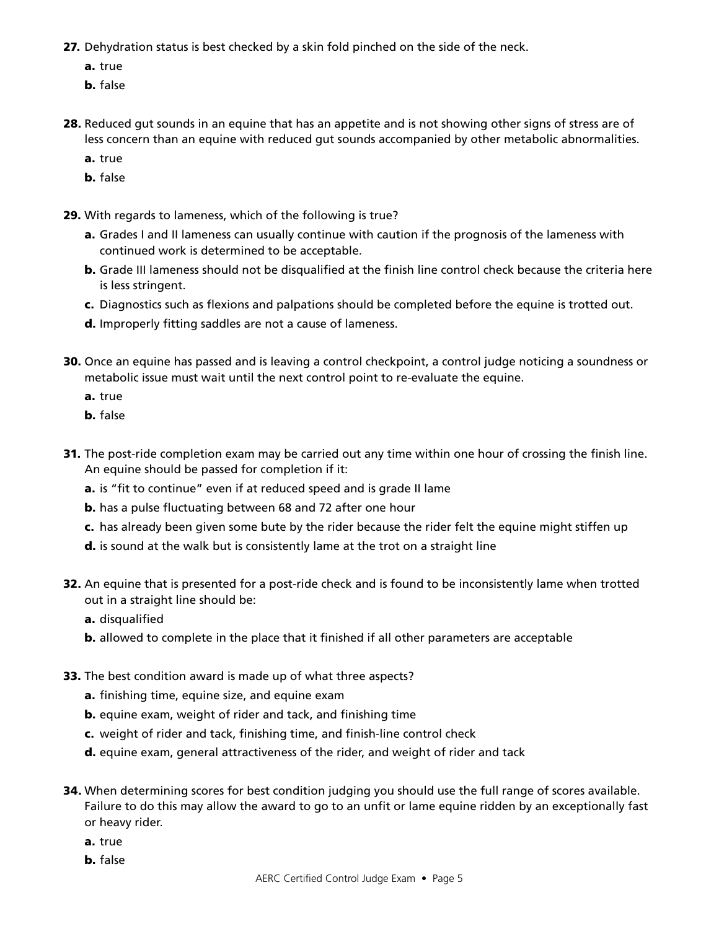- 27. Dehydration status is best checked by a skin fold pinched on the side of the neck.
	- a. true
	- b. false
- 28. Reduced gut sounds in an equine that has an appetite and is not showing other signs of stress are of less concern than an equine with reduced gut sounds accompanied by other metabolic abnormalities.
	- a. true
	- b. false
- 29. With regards to lameness, which of the following is true?
	- **a.** Grades I and II lameness can usually continue with caution if the prognosis of the lameness with continued work is determined to be acceptable.
	- b. Grade III lameness should not be disqualified at the finish line control check because the criteria here is less stringent.
	- c. Diagnostics such as flexions and palpations should be completed before the equine is trotted out.
	- d. Improperly fitting saddles are not a cause of lameness.
- 30. Once an equine has passed and is leaving a control checkpoint, a control judge noticing a soundness or metabolic issue must wait until the next control point to re-evaluate the equine.
	- a. true
	- b. false
- 31. The post-ride completion exam may be carried out any time within one hour of crossing the finish line. An equine should be passed for completion if it:
	- a. is "fit to continue" even if at reduced speed and is grade II lame
	- b. has a pulse fluctuating between 68 and 72 after one hour
	- c. has already been given some bute by the rider because the rider felt the equine might stiffen up
	- d. is sound at the walk but is consistently lame at the trot on a straight line
- **32.** An equine that is presented for a post-ride check and is found to be inconsistently lame when trotted out in a straight line should be:
	- a. disqualified
	- b. allowed to complete in the place that it finished if all other parameters are acceptable
- 33. The best condition award is made up of what three aspects?
	- a. finishing time, equine size, and equine exam
	- b. equine exam, weight of rider and tack, and finishing time
	- c. weight of rider and tack, finishing time, and finish-line control check
	- d. equine exam, general attractiveness of the rider, and weight of rider and tack
- 34. When determining scores for best condition judging you should use the full range of scores available. Failure to do this may allow the award to go to an unfit or lame equine ridden by an exceptionally fast or heavy rider.
	- a. true
	- b. false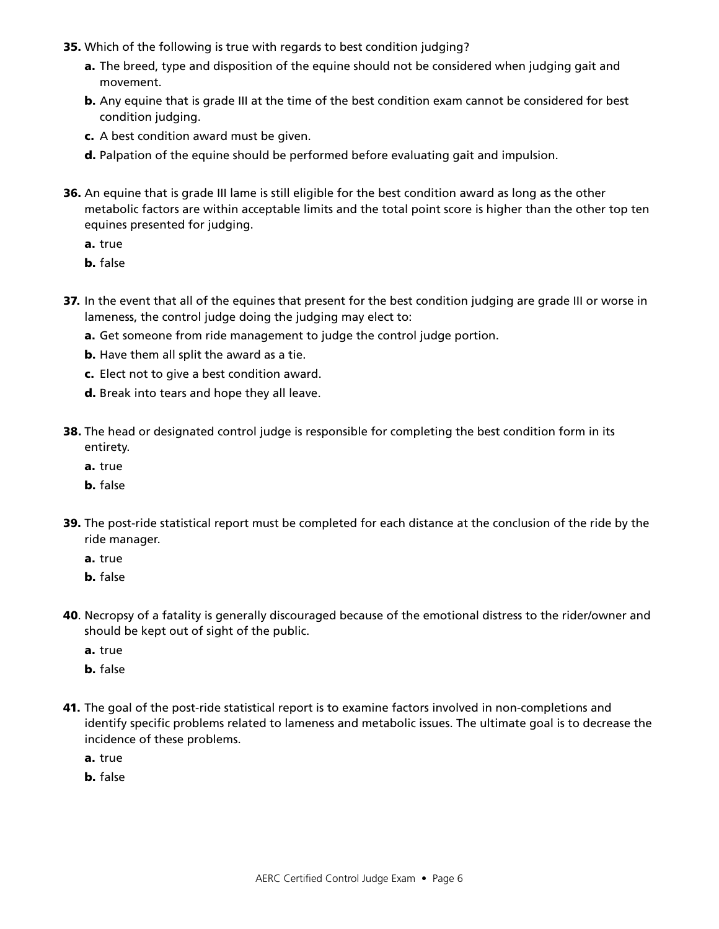- 35. Which of the following is true with regards to best condition judging?
	- a. The breed, type and disposition of the equine should not be considered when judging gait and movement.
	- **b.** Any equine that is grade III at the time of the best condition exam cannot be considered for best condition judging.
	- c. A best condition award must be given.
	- d. Palpation of the equine should be performed before evaluating gait and impulsion.
- 36. An equine that is grade III lame is still eligible for the best condition award as long as the other metabolic factors are within acceptable limits and the total point score is higher than the other top ten equines presented for judging.
	- a. true
	- b. false
- 37. In the event that all of the equines that present for the best condition judging are grade III or worse in lameness, the control judge doing the judging may elect to:
	- a. Get someone from ride management to judge the control judge portion.
	- **b.** Have them all split the award as a tie.
	- c. Elect not to give a best condition award.
	- d. Break into tears and hope they all leave.
- 38. The head or designated control judge is responsible for completing the best condition form in its entirety.
	- a. true
	- b. false
- 39. The post-ride statistical report must be completed for each distance at the conclusion of the ride by the ride manager.
	- a. true
	- b. false
- 40. Necropsy of a fatality is generally discouraged because of the emotional distress to the rider/owner and should be kept out of sight of the public.
	- a. true
	- b. false
- 41. The goal of the post-ride statistical report is to examine factors involved in non-completions and identify specific problems related to lameness and metabolic issues. The ultimate goal is to decrease the incidence of these problems.
	- a. true
	- b. false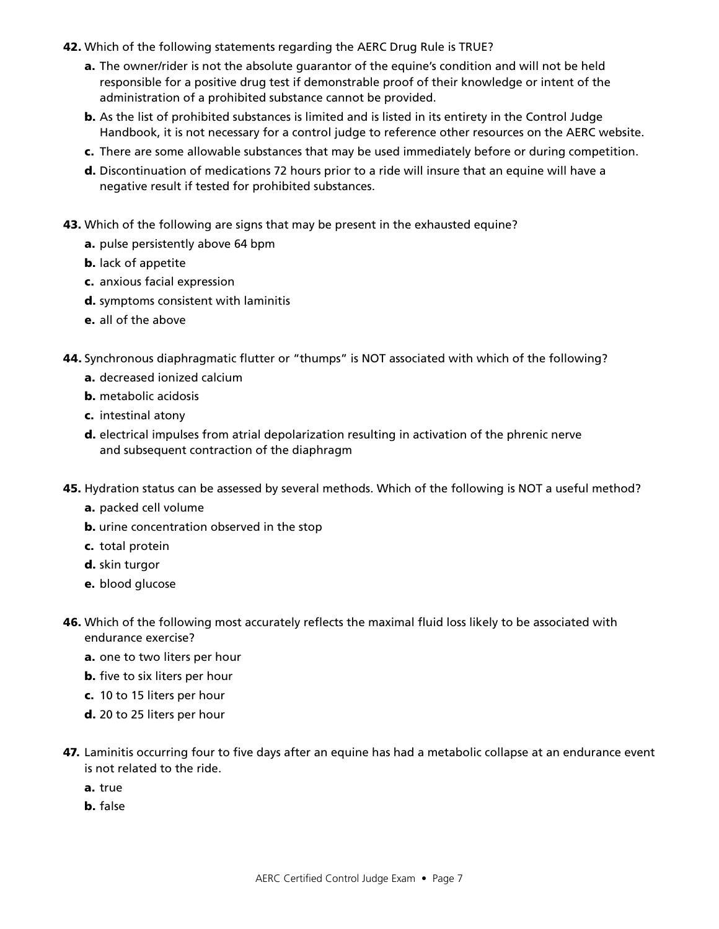- 42. Which of the following statements regarding the AERC Drug Rule is TRUE?
	- a. The owner/rider is not the absolute quarantor of the equine's condition and will not be held responsible for a positive drug test if demonstrable proof of their knowledge or intent of the administration of a prohibited substance cannot be provided.
	- **b.** As the list of prohibited substances is limited and is listed in its entirety in the Control Judge Handbook, it is not necessary for a control judge to reference other resources on the AERC website.
	- c. There are some allowable substances that may be used immediately before or during competition.
	- d. Discontinuation of medications 72 hours prior to a ride will insure that an equine will have a negative result if tested for prohibited substances.
- 43. Which of the following are signs that may be present in the exhausted equine?
	- a. pulse persistently above 64 bpm
	- **b.** lack of appetite
	- c. anxious facial expression
	- d. symptoms consistent with laminitis
	- e. all of the above
- 44. Synchronous diaphragmatic flutter or "thumps" is NOT associated with which of the following?
	- a. decreased ionized calcium
	- b. metabolic acidosis
	- c. intestinal atony
	- d. electrical impulses from atrial depolarization resulting in activation of the phrenic nerve and subsequent contraction of the diaphragm
- 45. Hydration status can be assessed by several methods. Which of the following is NOT a useful method?
	- a. packed cell volume
	- **b.** urine concentration observed in the stop
	- c. total protein
	- d. skin turgor
	- e. blood glucose
- 46. Which of the following most accurately reflects the maximal fluid loss likely to be associated with endurance exercise?
	- a. one to two liters per hour
	- **b.** five to six liters per hour
	- c. 10 to 15 liters per hour
	- d. 20 to 25 liters per hour
- 47. Laminitis occurring four to five days after an equine has had a metabolic collapse at an endurance event is not related to the ride.
	- a. true
	- b. false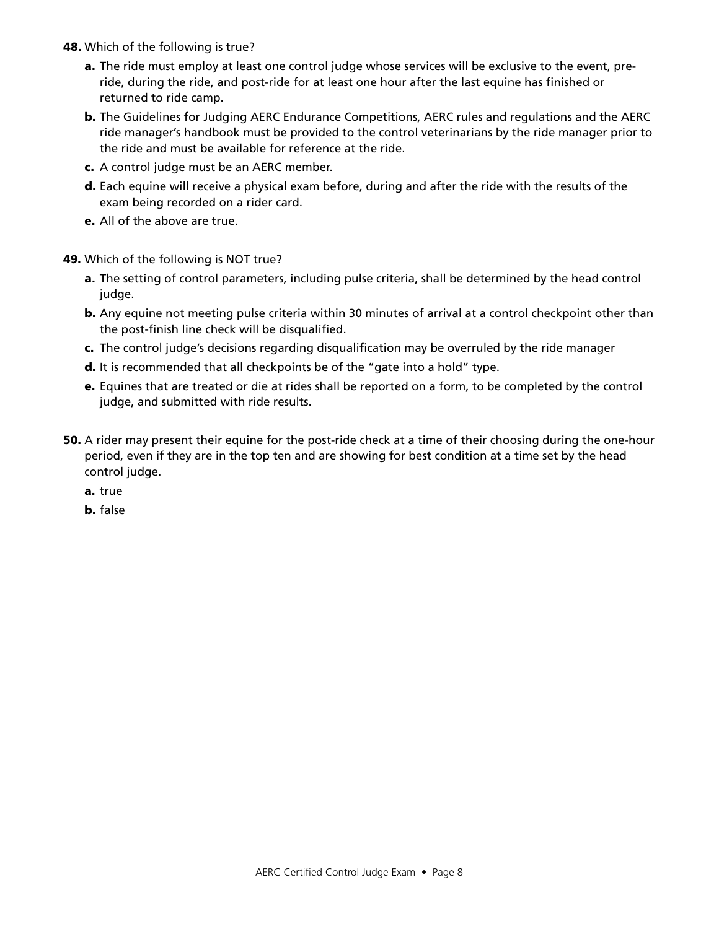- 48. Which of the following is true?
	- a. The ride must employ at least one control judge whose services will be exclusive to the event, pre ride, during the ride, and post-ride for at least one hour after the last equine has finished or returned to ride camp.
	- b. The Guidelines for Judging AERC Endurance Competitions, AERC rules and regulations and the AERC ride manager's handbook must be provided to the control veterinarians by the ride manager prior to the ride and must be available for reference at the ride.
	- c. A control judge must be an AERC member.
	- d. Each equine will receive a physical exam before, during and after the ride with the results of the exam being recorded on a rider card.
	- e. All of the above are true.
- 49. Which of the following is NOT true?
	- a. The setting of control parameters, including pulse criteria, shall be determined by the head control judge.
	- **b.** Any equine not meeting pulse criteria within 30 minutes of arrival at a control checkpoint other than the post-finish line check will be disqualified.
	- c. The control judge's decisions regarding disqualification may be overruled by the ride manager
	- d. It is recommended that all checkpoints be of the "gate into a hold" type.
	- e. Equines that are treated or die at rides shall be reported on a form, to be completed by the control judge, and submitted with ride results.
- 50. A rider may present their equine for the post-ride check at a time of their choosing during the one-hour period, even if they are in the top ten and are showing for best condition at a time set by the head control judge.
	- a. true
	- b. false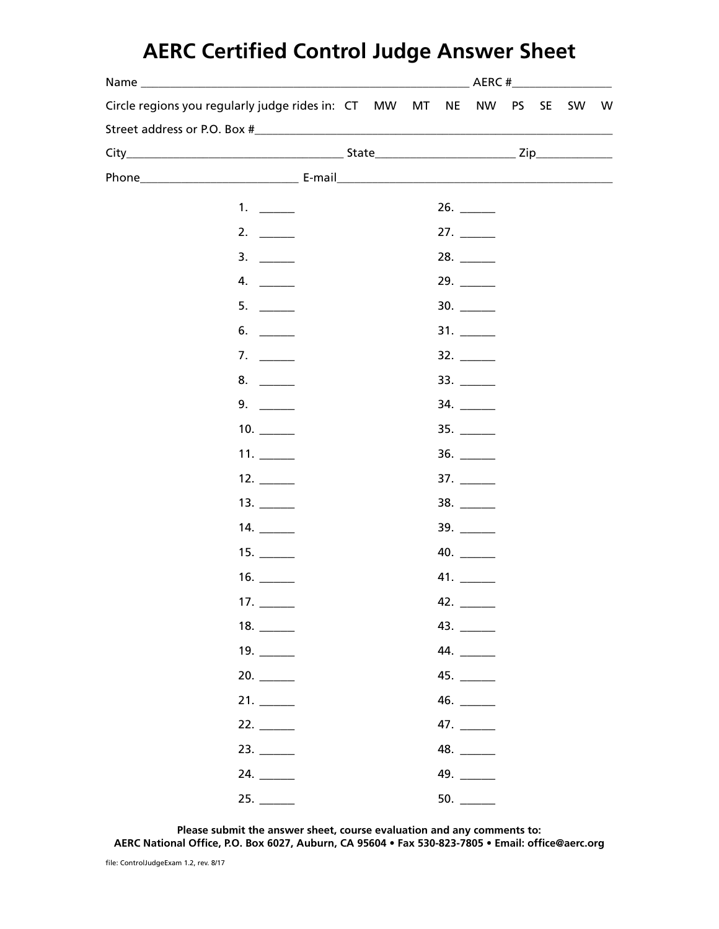# **AERC Certified Control Judge Answer Sheet**

|  | $AERC$ # $\qquad \qquad$                                                                                                                                                                                                                 |  |    |    |  |              |           |           |    |   |  |
|--|------------------------------------------------------------------------------------------------------------------------------------------------------------------------------------------------------------------------------------------|--|----|----|--|--------------|-----------|-----------|----|---|--|
|  | Circle regions you regularly judge rides in: CT                                                                                                                                                                                          |  | MW | MT |  | NE NW        | <b>PS</b> | <b>SE</b> | SW | W |  |
|  |                                                                                                                                                                                                                                          |  |    |    |  |              |           |           |    |   |  |
|  |                                                                                                                                                                                                                                          |  |    |    |  |              |           |           |    |   |  |
|  | Phone <b>E-mail Discrete Report F-mail</b> Phone <b>Contract Property Contract Property</b> Contract Property Contract Property Contract Property Contract Property Contract Property Contract Property Contract Property Contract Prope |  |    |    |  |              |           |           |    |   |  |
|  | 1. $\qquad$                                                                                                                                                                                                                              |  |    |    |  |              |           |           |    |   |  |
|  | 2.                                                                                                                                                                                                                                       |  |    |    |  |              |           |           |    |   |  |
|  | 3.                                                                                                                                                                                                                                       |  |    |    |  |              |           |           |    |   |  |
|  | 4.                                                                                                                                                                                                                                       |  |    |    |  |              |           |           |    |   |  |
|  | 5.                                                                                                                                                                                                                                       |  |    |    |  |              |           |           |    |   |  |
|  | 6.                                                                                                                                                                                                                                       |  |    |    |  |              |           |           |    |   |  |
|  | 7. $\qquad$                                                                                                                                                                                                                              |  |    |    |  |              |           |           |    |   |  |
|  |                                                                                                                                                                                                                                          |  |    |    |  |              |           |           |    |   |  |
|  |                                                                                                                                                                                                                                          |  |    |    |  |              |           |           |    |   |  |
|  |                                                                                                                                                                                                                                          |  |    |    |  |              |           |           |    |   |  |
|  |                                                                                                                                                                                                                                          |  |    |    |  |              |           |           |    |   |  |
|  |                                                                                                                                                                                                                                          |  |    |    |  | 37.          |           |           |    |   |  |
|  |                                                                                                                                                                                                                                          |  |    |    |  | 38. $\qquad$ |           |           |    |   |  |
|  |                                                                                                                                                                                                                                          |  |    |    |  |              |           |           |    |   |  |
|  |                                                                                                                                                                                                                                          |  |    |    |  |              |           |           |    |   |  |
|  |                                                                                                                                                                                                                                          |  |    |    |  |              |           |           |    |   |  |
|  | 17.                                                                                                                                                                                                                                      |  |    |    |  |              |           |           |    |   |  |
|  |                                                                                                                                                                                                                                          |  |    |    |  |              |           |           |    |   |  |
|  |                                                                                                                                                                                                                                          |  |    |    |  |              |           |           |    |   |  |
|  | 20.                                                                                                                                                                                                                                      |  |    |    |  |              |           |           |    |   |  |
|  |                                                                                                                                                                                                                                          |  |    |    |  |              |           |           |    |   |  |
|  |                                                                                                                                                                                                                                          |  |    |    |  |              |           |           |    |   |  |
|  |                                                                                                                                                                                                                                          |  |    |    |  |              |           |           |    |   |  |
|  |                                                                                                                                                                                                                                          |  |    |    |  |              |           |           |    |   |  |
|  |                                                                                                                                                                                                                                          |  |    |    |  |              |           |           |    |   |  |

**Please submit the answer sheet, course evaluation and any comments to: AERC National Office, P.O. Box 6027, Auburn, CA 95604 • Fax 530-823-7805 • Email: office@aerc.org**